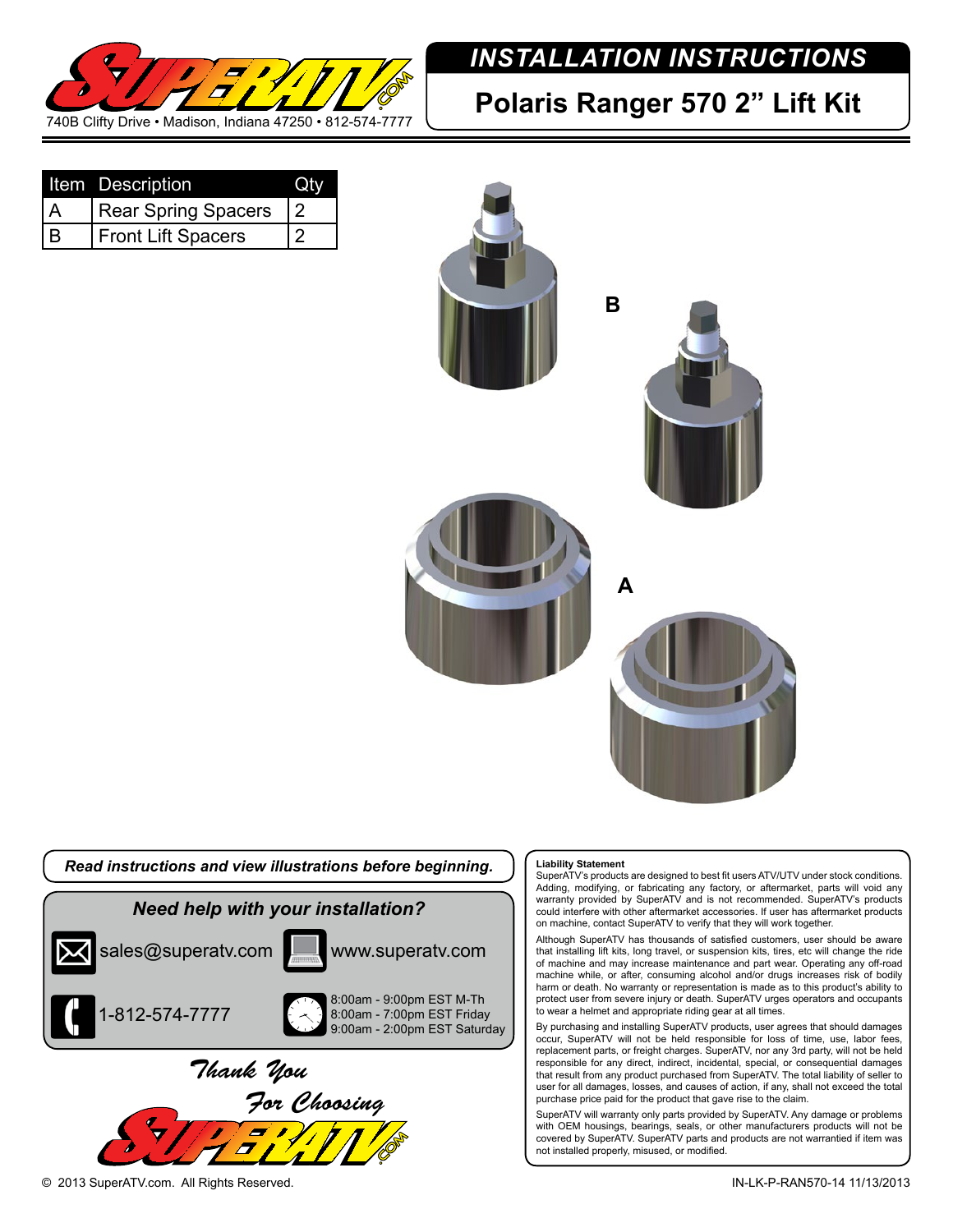

# *INSTALLATION INSTRUCTIONS*

# **Polaris Ranger 570 2" Lift Kit**

|     | Item Description           |   |
|-----|----------------------------|---|
| l A | <b>Rear Spring Spacers</b> | 2 |
| l B | <b>Front Lift Spacers</b>  | 2 |



## *Read instructions and view illustrations before beginning. Need help with your installation?* 1-812-574-7777 sales@superatv.com **Wille WWW.superatv.com** 8:00am - 9:00pm EST M-Th 8:00am - 7:00pm EST Friday 9:00am - 2:00pm EST Saturday *Thank You For Choosing*

#### **Liability Statement**

SuperATV's products are designed to best fit users ATV/UTV under stock conditions. Adding, modifying, or fabricating any factory, or aftermarket, parts will void any warranty provided by SuperATV and is not recommended. SuperATV's products could interfere with other aftermarket accessories. If user has aftermarket products on machine, contact SuperATV to verify that they will work together.

Although SuperATV has thousands of satisfied customers, user should be aware that installing lift kits, long travel, or suspension kits, tires, etc will change the ride of machine and may increase maintenance and part wear. Operating any off-road machine while, or after, consuming alcohol and/or drugs increases risk of bodily harm or death. No warranty or representation is made as to this product's ability to protect user from severe injury or death. SuperATV urges operators and occupants to wear a helmet and appropriate riding gear at all times.

By purchasing and installing SuperATV products, user agrees that should damages occur, SuperATV will not be held responsible for loss of time, use, labor fees, replacement parts, or freight charges. SuperATV, nor any 3rd party, will not be held responsible for any direct, indirect, incidental, special, or consequential damages that result from any product purchased from SuperATV. The total liability of seller to user for all damages, losses, and causes of action, if any, shall not exceed the total purchase price paid for the product that gave rise to the claim.

SuperATV will warranty only parts provided by SuperATV. Any damage or problems with OEM housings, bearings, seals, or other manufacturers products will not be covered by SuperATV. SuperATV parts and products are not warrantied if item was not installed properly, misused, or modified.